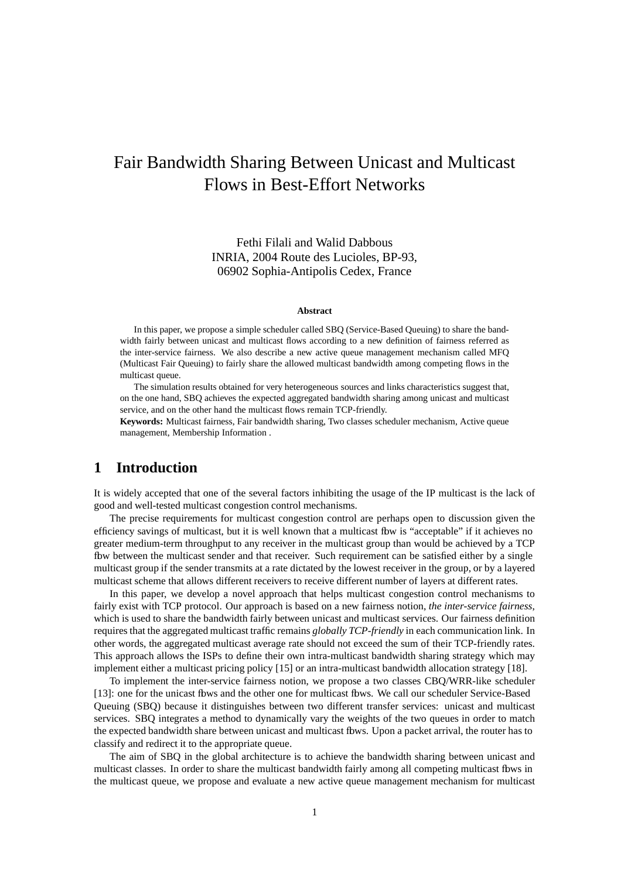# Fair Bandwidth Sharing Between Unicast and Multicast Flows in Best-Effort Networks

Fethi Filali and Walid Dabbous INRIA, 2004 Route des Lucioles, BP-93, 06902 Sophia-Antipolis Cedex, France

#### **Abstract**

In this paper, we propose a simple scheduler called SBQ (Service-Based Queuing) to share the bandwidth fairly between unicast and multicast flows according to a new definition of fairness referred as the inter-service fairness. We also describe a new active queue management mechanism called MFQ (Multicast Fair Queuing) to fairly share the allowed multicast bandwidth among competing flows in the multicast queue.

The simulation results obtained for very heterogeneous sources and links characteristics suggest that, on the one hand, SBQ achieves the expected aggregated bandwidth sharing among unicast and multicast service, and on the other hand the multicast flows remain TCP-friendly.

**Keywords:** Multicast fairness, Fair bandwidth sharing, Two classes scheduler mechanism, Active queue management, Membership Information .

# **1 Introduction**

It is widely accepted that one of the several factors inhibiting the usage of the IP multicast is the lack of good and well-tested multicast congestion control mechanisms.

The precise requirements for multicast congestion control are perhaps open to discussion given the efficiency savings of multicast, but it is well known that a multicast flow is "acceptable" if it achieves no greater medium-term throughput to any receiver in the multicast group than would be achieved by a TCP flow between the multicast sender and that receiver. Such requirement can be satisfied either by a single multicast group if the sender transmits at a rate dictated by the lowest receiver in the group, or by a layered multicast scheme that allows different receivers to receive different number of layers at different rates.

In this paper, we develop a novel approach that helps multicast congestion control mechanisms to fairly exist with TCP protocol. Our approach is based on a new fairness notion, *the inter-service fairness*, which is used to share the bandwidth fairly between unicast and multicast services. Our fairness definition requires that the aggregated multicast traffic remains *globally TCP-friendly* in each communication link. In other words, the aggregated multicast average rate should not exceed the sum of their TCP-friendly rates. This approach allows the ISPs to define their own intra-multicast bandwidth sharing strategy which may implement either a multicast pricing policy [15] or an intra-multicast bandwidth allocation strategy [18].

To implement the inter-service fairness notion, we propose a two classes CBQ/WRR-like scheduler [13]: one for the unicast flows and the other one for multicast flows. We call our scheduler Service-Based Queuing (SBQ) because it distinguishes between two different transfer services: unicast and multicast services. SBQ integrates a method to dynamically vary the weights of the two queues in order to match the expected bandwidth share between unicast and multicast flows. Upon a packet arrival, the router has to classify and redirect it to the appropriate queue.

The aim of SBQ in the global architecture is to achieve the bandwidth sharing between unicast and multicast classes. In order to share the multicast bandwidth fairly among all competing multicast flows in the multicast queue, we propose and evaluate a new active queue management mechanism for multicast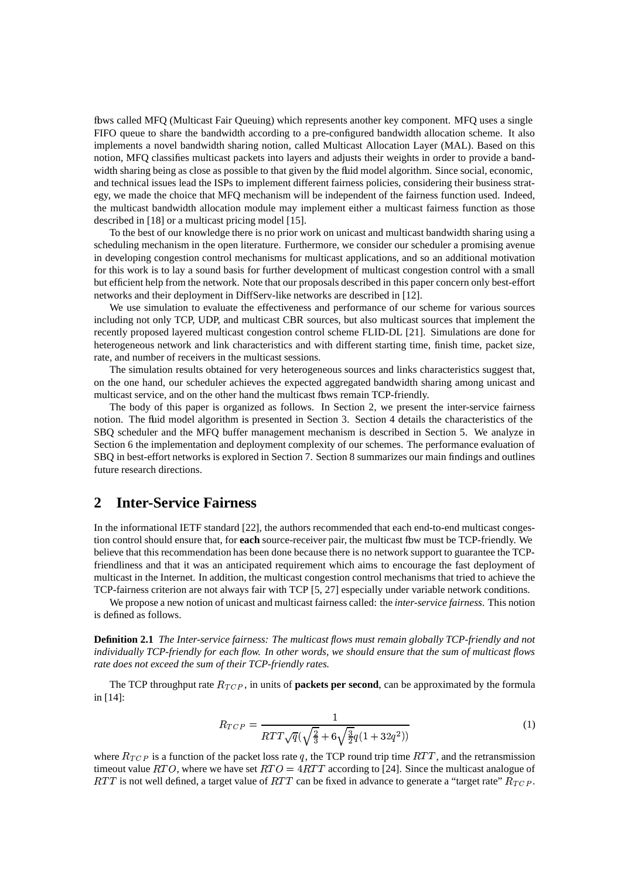flows called MFQ (Multicast Fair Queuing) which represents another key component. MFQ uses a single FIFO queue to share the bandwidth according to a pre-configured bandwidth allocation scheme. It also implements a novel bandwidth sharing notion, called Multicast Allocation Layer (MAL). Based on this notion, MFQ classifies multicast packets into layers and adjusts their weights in order to provide a bandwidth sharing being as close as possible to that given by the fluid model algorithm. Since social, economic, and technical issues lead the ISPs to implement different fairness policies, considering their business strategy, we made the choice that MFQ mechanism will be independent of the fairness function used. Indeed, the multicast bandwidth allocation module may implement either a multicast fairness function as those described in [18] or a multicast pricing model [15].

To the best of our knowledge there is no prior work on unicast and multicast bandwidth sharing using a scheduling mechanism in the open literature. Furthermore, we consider our scheduler a promising avenue in developing congestion control mechanisms for multicast applications, and so an additional motivation for this work is to lay a sound basis for further development of multicast congestion control with a small but efficient help from the network. Note that our proposals described in this paper concern only best-effort networks and their deployment in DiffServ-like networks are described in [12].

We use simulation to evaluate the effectiveness and performance of our scheme for various sources including not only TCP, UDP, and multicast CBR sources, but also multicast sources that implement the recently proposed layered multicast congestion control scheme FLID-DL [21]. Simulations are done for heterogeneous network and link characteristics and with different starting time, finish time, packet size, rate, and number of receivers in the multicast sessions.

The simulation results obtained for very heterogeneous sources and links characteristics suggest that, on the one hand, our scheduler achieves the expected aggregated bandwidth sharing among unicast and multicast service, and on the other hand the multicast flows remain TCP-friendly.

The body of this paper is organized as follows. In Section 2, we present the inter-service fairness notion. The fluid model algorithm is presented in Section 3. Section 4 details the characteristics of the SBQ scheduler and the MFQ buffer management mechanism is described in Section 5. We analyze in Section 6 the implementation and deployment complexity of our schemes. The performance evaluation of SBQ in best-effort networks is explored in Section 7. Section 8 summarizes our main findings and outlines future research directions.

# **2 Inter-Service Fairness**

In the informational IETF standard [22], the authors recommended that each end-to-end multicast congestion control should ensure that, for **each** source-receiver pair, the multicast flow must be TCP-friendly. We believe that this recommendation has been done because there is no network support to guarantee the TCPfriendliness and that it was an anticipated requirement which aims to encourage the fast deployment of multicast in the Internet. In addition, the multicast congestion control mechanisms that tried to achieve the TCP-fairness criterion are not always fair with TCP [5, 27] especially under variable network conditions.

We propose a new notion of unicast and multicast fairness called: the *inter-service fairness*. This notion is defined as follows.

**Definition 2.1** *The Inter-service fairness: The multicast flows must remain globally TCP-friendly and not individually TCP-friendly for each flow. In other words, we should ensure that the sum of multicast flows rate does not exceed the sum of their TCP-friendly rates.*

The TCP throughput rate  $R_{TCP}$ , in units of **packets per second**, can be approximated by the formula in [14]:

$$
R_{TCP} = \frac{1}{RTT\sqrt{q}(\sqrt{\frac{2}{3}} + 6\sqrt{\frac{3}{2}q}(1+32q^2))}
$$
(1)

where  $R_{TCP}$  is a function of the packet loss rate q, the TCP round trip time  $RTT$ , and the retransmission timeout value RTO, where we have set  $RTO = 4RTT$  according to [24]. Since the multicast analogue of  $RTT$  is not well defined, a target value of  $RTT$  can be fixed in advance to generate a "target rate"  $R_{TCP}$ .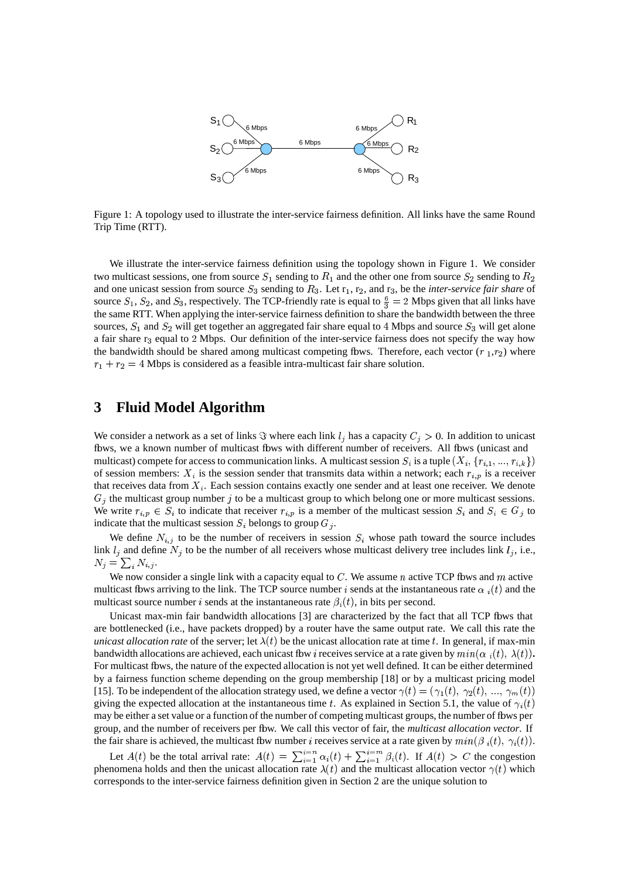

Figure 1: A topology used to illustrate the inter-service fairness definition. All links have the same Round Trip Time (RTT).

We illustrate the inter-service fairness definition using the topology shown in Figure 1. We consider two multicast sessions, one from source  $S_1$  sending to  $R_1$  and the other one from source  $S_2$  sending to  $R_2$ and one unicast session from source  $S_3$  sending to  $R_3$ . Let  $r_1, r_2$ , and  $r_3$ , be the *inter-service fair share* of source  $S_1$ ,  $S_2$ , and  $S_3$ , respectively. The TCP-friendly rate is equal to  $\frac{6}{3} = 2$  Mbps given that all links have the same RTT. When applying the inter-service fairness definition to share the bandwidth between the three sources,  $S_1$  and  $S_2$  will get together an aggregated fair share equal to 4 Mbps and source  $S_3$  will get alone a fair share r<sub>3</sub> equal to 2 Mbps. Our definition of the inter-service fairness does not specify the way how the bandwidth should be shared among multicast competing fbws. Therefore, each vector  $(r_1, r_2)$  where  $r_1 + r_2 = 4$  Mbps is considered as a feasible intra-multicast fair share solution.

# **3 Fluid Model Algorithm**

We consider a network as a set of links  $\Im$  where each link  $l_i$  has a capacity  $C_i > 0$ . In addition to unicast flows, we a known number of multicast flows with different number of receivers. All flows (unicast and multicast) compete for access to communication links. A multicast session  $S_i$  is a tuple  $(X_i, \{r_{i,1}, ..., r_{i,k}\})$ of session members:  $X_i$  is the session sender that transmits data within a network; each  $r_{i,p}$  is a receiver that receives data from  $X_i$ . Each session contains exactly one sender and at least one receiver. We denote  $G_j$  the multicast group number j to be a multicast group to which belong one or more multicast sessions. We write  $r_{i,p} \in S_i$  to indicate that receiver  $r_{i,p}$  is a member of the multicast session  $S_i$  and  $S_i \in G_j$  to indicate that the multicast session  $S_i$  belongs to group  $G_j$ .

We define  $N_{i,j}$  to be the number of receivers in session  $S_i$  whose path toward the source includes link  $l_j$  and define  $N_j$  to be the number of all receivers whose multicast delivery tree includes link  $l_j$ , i.e.,  $N_j = \sum_i N_{i,j}$ .

We now consider a single link with a capacity equal to  $C$ . We assume  $n$  active TCP flows and  $m$  active multicast fbws arriving to the link. The TCP source number i sends at the instantaneous rate  $\alpha_i(t)$  and the multicast source number *i* sends at the instantaneous rate  $\beta_i(t)$ , in bits per second.

Unicast max-min fair bandwidth allocations [3] are characterized by the fact that all TCP flows that are bottlenecked (i.e., have packets dropped) by a router have the same output rate. We call this rate the *unicast allocation rate* of the server; let  $\lambda(t)$  be the unicast allocation rate at time t. In general, if max-min bandwidth allocations are achieved, each unicast fbw i receives service at a rate given by  $min(\alpha_i(t), \lambda(t))$ . For multicast fbws, the nature of the expected allocation is not yet well defined. It can be either determined by a fairness function scheme depending on the group membership [18] or by a multicast pricing model [15]. To be independent of the allocation strategy used, we define a vector  $\gamma(t) = (\gamma_1(t), \gamma_2(t), ..., \gamma_m(t))$ giving the expected allocation at the instantaneous time t. As explained in Section 5.1, the value of  $\gamma_i(t)$ may be either a set value or a function of the number of competing multicast groups, the number of fbws per group, and the number of receivers per flow. We call this vector of fair, the *multicast allocation vector*. If the fair share is achieved, the multicast flow number *i* receives service at a rate given by  $min(\beta_i(t), \gamma_i(t))$ .

Let  $A(t)$  be the total arrival rate:  $A(t) = \sum_{i=1}^{n-m} \alpha_i(t) + \sum_{i=1}^{n-m} \beta_i(t)$ . If  $A(t) > C$  the congestion phenomena holds and then the unicast allocation rate  $\lambda(t)$  and the multicast allocation vector  $\gamma(t)$  which corresponds to the inter-service fairness definition given in Section 2 are the unique solution to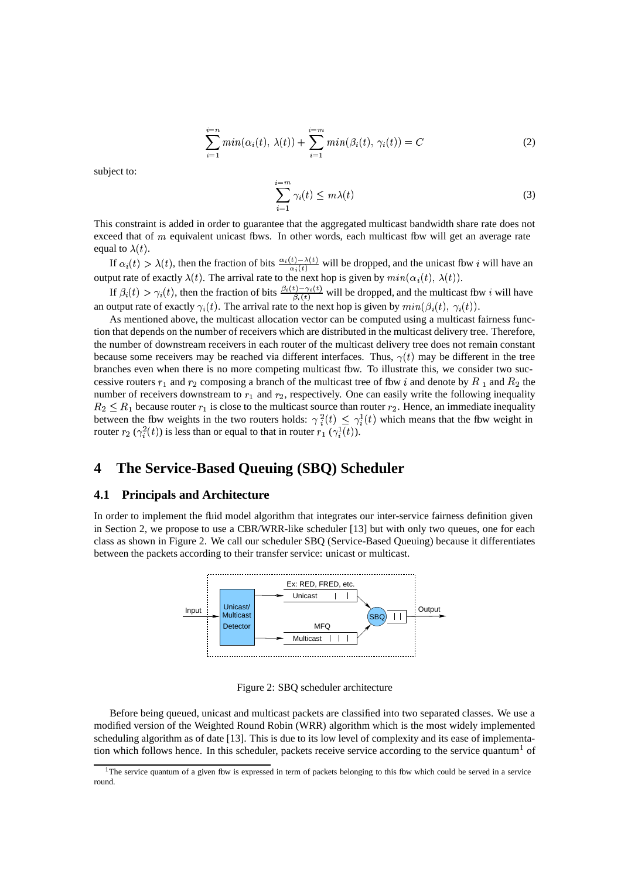$$
\sum_{i=1}^{i=n} \min(\alpha_i(t), \lambda(t)) + \sum_{i=1}^{i=m} \min(\beta_i(t), \gamma_i(t)) = C
$$
 (2)

subject to:

$$
\sum_{i=1}^{i=m} \gamma_i(t) \le m\lambda(t) \tag{3}
$$

This constraint is added in order to guarantee that the aggregated multicast bandwidth share rate does not exceed that of  $m$  equivalent unicast flows. In other words, each multicast flow will get an average rate equal to  $\lambda(t)$ .

If  $\alpha_i(t) > \lambda(t)$ , then the fraction of bits  $\frac{\alpha_i(t) - \lambda(t)}{\alpha_i(t)}$  will be dropped, and the unicast flow  $i$  will have an output rate of exactly  $\lambda(t)$ . The arrival rate to the next hop is given by  $min(\alpha_i(t), \lambda(t))$ .

If  $\beta_i(t) > \gamma_i(t)$ , then the fraction of bits  $\frac{\beta_i(t) - \gamma_i(t)}{\beta_i(t)}$  will be dropped, and the multicast flow *i* will have an output rate of exactly  $\gamma_i(t)$ . The arrival rate to the next hop is given by  $min(\beta_i(t), \gamma_i(t))$ .

As mentioned above, the multicast allocation vector can be computed using a multicast fairness function that depends on the number of receivers which are distributed in the multicast delivery tree. Therefore, the number of downstream receivers in each router of the multicast delivery tree does not remain constant because some receivers may be reached via different interfaces. Thus,  $\gamma(t)$  may be different in the tree branches even when there is no more competing multicast fbw. To illustrate this, we consider two successive routers  $r_1$  and  $r_2$  composing a branch of the multicast tree of fbw i and denote by  $R_1$  and  $R_2$  the number of receivers downstream to  $r_1$  and  $r_2$ , respectively. One can easily write the following inequality  $R_2 \leq R_1$  because router  $r_1$  is close to the multicast source than router  $r_2$ . Hence, an immediate inequality between the flow weights in the two routers holds:  $\gamma_i^2(t) \leq \gamma_i^1(t)$  which means that the flow weight in router  $r_2(\gamma_i^2(t))$  is less than or equal to that in router  $r_1(\gamma_i^1(t))$ .

# **4 The Service-Based Queuing (SBQ) Scheduler**

### **4.1 Principals and Architecture**

In order to implement the fluid model algorithm that integrates our inter-service fairness definition given in Section 2, we propose to use a CBR/WRR-like scheduler [13] but with only two queues, one for each class as shown in Figure 2. We call our scheduler SBQ (Service-Based Queuing) because it differentiates between the packets according to their transfer service: unicast or multicast.



Figure 2: SBQ scheduler architecture

Before being queued, unicast and multicast packets are classified into two separated classes. We use a modified version of the Weighted Round Robin (WRR) algorithm which is the most widely implemented scheduling algorithm as of date [13]. This is due to its low level of complexity and its ease of implementation which follows hence. In this scheduler, packets receive service according to the service quantum<sup>1</sup> of

<sup>&</sup>lt;sup>1</sup>The service quantum of a given flow is expressed in term of packets belonging to this flow which could be served in a service round.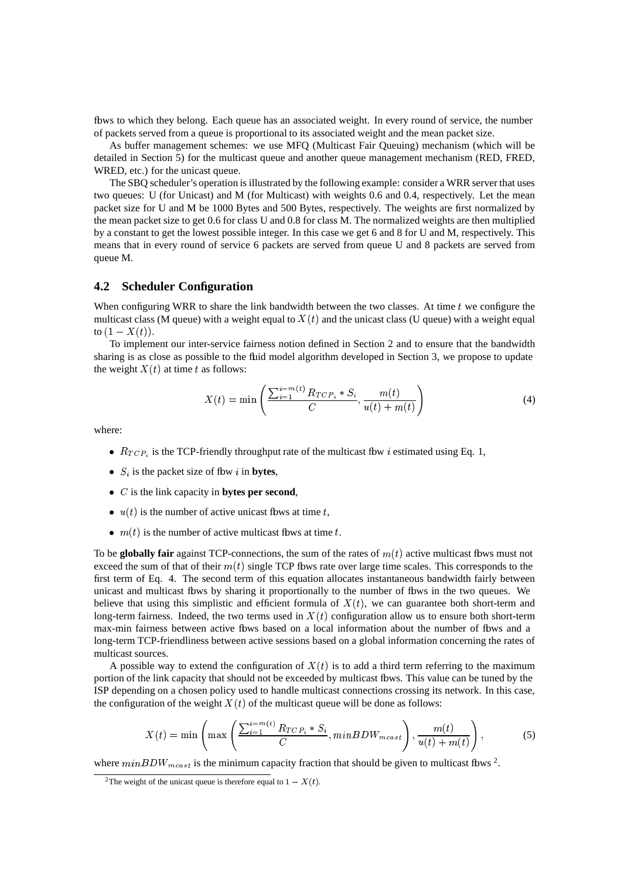flows to which they belong. Each queue has an associated weight. In every round of service, the number of packets served from a queue is proportional to its associated weight and the mean packet size.

As buffer management schemes: we use MFQ (Multicast Fair Queuing) mechanism (which will be detailed in Section 5) for the multicast queue and another queue management mechanism (RED, FRED, WRED, etc.) for the unicast queue.

The SBQ scheduler's operation is illustrated by the following example: consider a WRR server that uses two queues: U (for Unicast) and M (for Multicast) with weights 0.6 and 0.4, respectively. Let the mean packet size for U and M be 1000 Bytes and 500 Bytes, respectively. The weights are first normalized by the mean packet size to get 0.6 for class U and 0.8 for class M. The normalized weights are then multiplied by a constant to get the lowest possible integer. In this case we get 6 and 8 for U and M, respectively. This means that in every round of service 6 packets are served from queue U and 8 packets are served from queue M.

### **4.2 Scheduler Configuration**

When configuring WRR to share the link bandwidth between the two classes. At time  $t$  we configure the multicast class (M queue) with a weight equal to  $X(t)$  and the unicast class (U queue) with a weight equal to  $(1 - X(t)).$ 

To implement our inter-service fairness notion defined in Section 2 and to ensure that the bandwidth sharing is as close as possible to the fluid model algorithm developed in Section 3, we propose to update the weight  $X(t)$  at time t as follows:

$$
X(t) = \min\left(\frac{\sum_{i=1}^{i=m(t)} R_{TCP_i} * S_i}{C}, \frac{m(t)}{u(t) + m(t)}\right)
$$
(4)

where:

- $R_{TCP_i}$  is the TCP-friendly throughput rate of the multicast flow i estimated using Eq. 1,
- $S_i$  is the packet size of flow  $i$  in **bytes**,
- is the link capacity in **bytes per second**,
- $u(t)$  is the number of active unicast flows at time t,
- $m(t)$  is the number of active multicast flows at time t.

To be **globally fair** against TCP-connections, the sum of the rates of  $m(t)$  active multicast flows must not exceed the sum of that of their  $m(t)$  single TCP flows rate over large time scales. This corresponds to the first term of Eq. 4. The second term of this equation allocates instantaneous bandwidth fairly between unicast and multicast flows by sharing it proportionally to the number of flows in the two queues. We believe that using this simplistic and efficient formula of  $X(t)$ , we can guarantee both short-term and long-term fairness. Indeed, the two terms used in  $X(t)$  configuration allow us to ensure both short-term max-min fairness between active flows based on a local information about the number of flows and a long-term TCP-friendliness between active sessions based on a global information concerning the rates of multicast sources.

A possible way to extend the configuration of  $X(t)$  is to add a third term referring to the maximum portion of the link capacity that should not be exceeded by multicast flows. This value can be tuned by the ISP depending on a chosen policy used to handle multicast connections crossing its network. In this case, the configuration of the weight  $X(t)$  of the multicast queue will be done as follows:

$$
X(t) = \min\left(\max\left(\frac{\sum_{i=1}^{i=m(t)} R_{TCP_i} * S_i}{C}, \min BDW_{meast}\right), \frac{m(t)}{u(t) + m(t)}\right),\tag{5}
$$

where  $minBDW_{meast}$  is the minimum capacity fraction that should be given to multicast fbws <sup>2</sup>.

<sup>&</sup>lt;sup>2</sup>The weight of the unicast queue is therefore equal to  $1 - X(t)$ .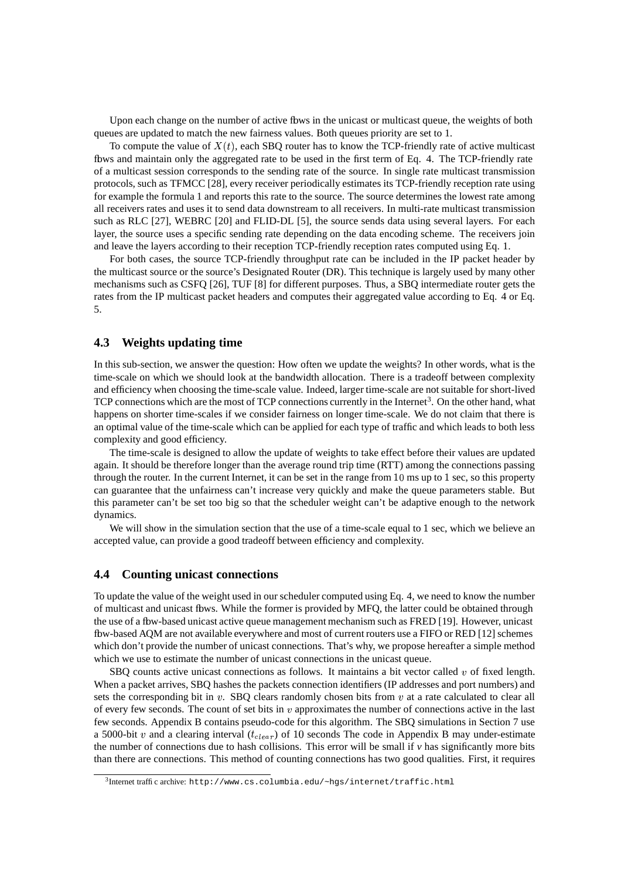Upon each change on the number of active flows in the unicast or multicast queue, the weights of both queues are updated to match the new fairness values. Both queues priority are set to 1.

To compute the value of  $X(t)$ , each SBQ router has to know the TCP-friendly rate of active multicast flows and maintain only the aggregated rate to be used in the first term of Eq. 4. The TCP-friendly rate of a multicast session corresponds to the sending rate of the source. In single rate multicast transmission protocols, such as TFMCC [28], every receiver periodically estimates its TCP-friendly reception rate using for example the formula 1 and reports this rate to the source. The source determines the lowest rate among all receivers rates and uses it to send data downstream to all receivers. In multi-rate multicast transmission such as RLC [27], WEBRC [20] and FLID-DL [5], the source sends data using several layers. For each layer, the source uses a specific sending rate depending on the data encoding scheme. The receivers join and leave the layers according to their reception TCP-friendly reception rates computed using Eq. 1.

For both cases, the source TCP-friendly throughput rate can be included in the IP packet header by the multicast source or the source's Designated Router (DR). This technique is largely used by many other mechanisms such as CSFQ [26], TUF [8] for different purposes. Thus, a SBQ intermediate router gets the rates from the IP multicast packet headers and computes their aggregated value according to Eq. 4 or Eq. 5.

### **4.3 Weights updating time**

In this sub-section, we answer the question: How often we update the weights? In other words, what is the time-scale on which we should look at the bandwidth allocation. There is a tradeoff between complexity and efficiency when choosing the time-scale value. Indeed, larger time-scale are not suitable for short-lived TCP connections which are the most of TCP connections currently in the Internet<sup>3</sup>. On the other hand, what happens on shorter time-scales if we consider fairness on longer time-scale. We do not claim that there is an optimal value of the time-scale which can be applied for each type of traffic and which leads to both less complexity and good efficiency.

The time-scale is designed to allow the update of weights to take effect before their values are updated again. It should be therefore longer than the average round trip time (RTT) among the connections passing through the router. In the current Internet, it can be set in the range from  $10 \text{ ms}$  up to  $1 \text{ sec}$ , so this property can guarantee that the unfairness can't increase very quickly and make the queue parameters stable. But this parameter can't be set too big so that the scheduler weight can't be adaptive enough to the network dynamics.

We will show in the simulation section that the use of a time-scale equal to 1 sec, which we believe an accepted value, can provide a good tradeoff between efficiency and complexity.

### **4.4 Counting unicast connections**

To update the value of the weight used in our scheduler computed using Eq. 4, we need to know the number of multicast and unicast flows. While the former is provided by MFQ, the latter could be obtained through the use of a fbw-based unicast active queue management mechanism such as FRED [19]. However, unicast flow-based AQM are not available everywhere and most of current routers use a FIFO or RED [12] schemes which don't provide the number of unicast connections. That's why, we propose hereafter a simple method which we use to estimate the number of unicast connections in the unicast queue.

SBQ counts active unicast connections as follows. It maintains a bit vector called  $\upsilon$  of fixed length. When a packet arrives, SBQ hashes the packets connection identifiers (IP addresses and port numbers) and sets the corresponding bit in  $v$ . SBQ clears randomly chosen bits from  $v$  at a rate calculated to clear all of every few seconds. The count of set bits in  $v$  approximates the number of connections active in the last few seconds. Appendix B contains pseudo-code for this algorithm. The SBQ simulations in Section 7 use a 5000-bit v and a clearing interval  $(t_{clear})$  of 10 seconds The code in Appendix B may under-estimate the number of connections due to hash collisions. This error will be small if  $\nu$  has significantly more bits than there are connections. This method of counting connections has two good qualities. First, it requires

 $^3$ Internet traffic archive: http://www.cs.columbia.edu/~hgs/internet/traffic.html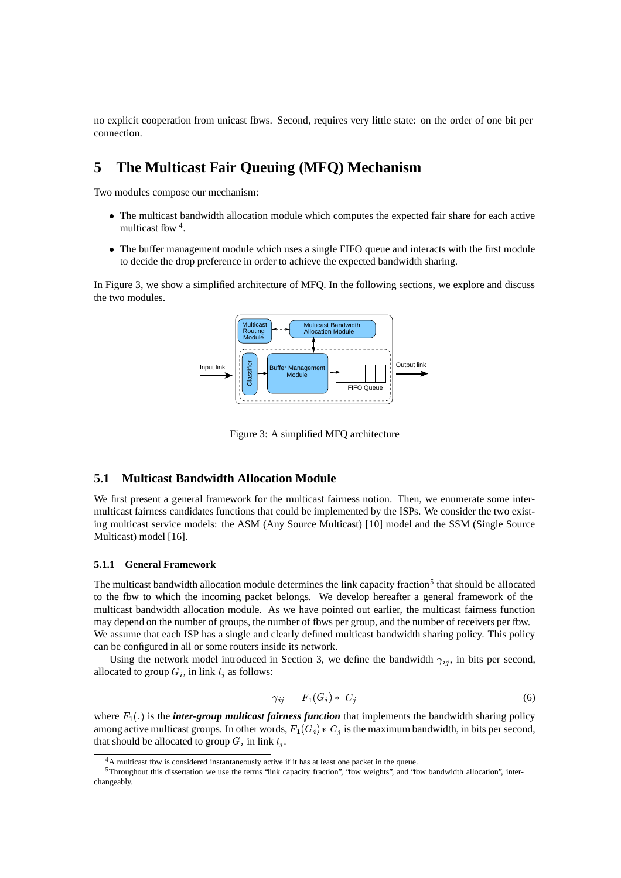no explicit cooperation from unicast flows. Second, requires very little state: on the order of one bit per connection.

# **5 The Multicast Fair Queuing (MFQ) Mechanism**

Two modules compose our mechanism:

- The multicast bandwidth allocation module which computes the expected fair share for each active multicast flow  $4$ .
- The buffer management module which uses a single FIFO queue and interacts with the first module to decide the drop preference in order to achieve the expected bandwidth sharing.

In Figure 3, we show a simplified architecture of MFQ. In the following sections, we explore and discuss the two modules.



Figure 3: A simplified MFQ architecture

# **5.1 Multicast Bandwidth Allocation Module**

We first present a general framework for the multicast fairness notion. Then, we enumerate some intermulticast fairness candidates functions that could be implemented by the ISPs. We consider the two existing multicast service models: the ASM (Any Source Multicast) [10] model and the SSM (Single Source Multicast) model [16].

### **5.1.1 General Framework**

The multicast bandwidth allocation module determines the link capacity fraction<sup>5</sup> that should be allocated to the flow to which the incoming packet belongs. We develop hereafter a general framework of the multicast bandwidth allocation module. As we have pointed out earlier, the multicast fairness function may depend on the number of groups, the number of flows per group, and the number of receivers per flow. We assume that each ISP has a single and clearly defined multicast bandwidth sharing policy. This policy can be configured in all or some routers inside its network.

Using the network model introduced in Section 3, we define the bandwidth  $\gamma_{ij}$ , in bits per second, allocated to group  $G_i$ , in link  $l_i$  as follows:

$$
\gamma_{ij} = F_1(G_i) * C_j \tag{6}
$$

where  $F_1(.)$  is the *inter-group multicast fairness function* that implements the bandwidth sharing policy among active multicast groups. In other words,  $F_1(G_i) * C_j$  is the maximum bandwidth, in bits per second, that should be allocated to group  $G_i$  in link  $l_i$ .

<sup>&</sup>lt;sup>4</sup>A multicast fbw is considered instantaneously active if it has at least one packet in the queue.

<sup>5</sup>Throughout this dissertation we use the terms "link capacity fraction", "flow weights", and "flow bandwidth allocation", interchangeably.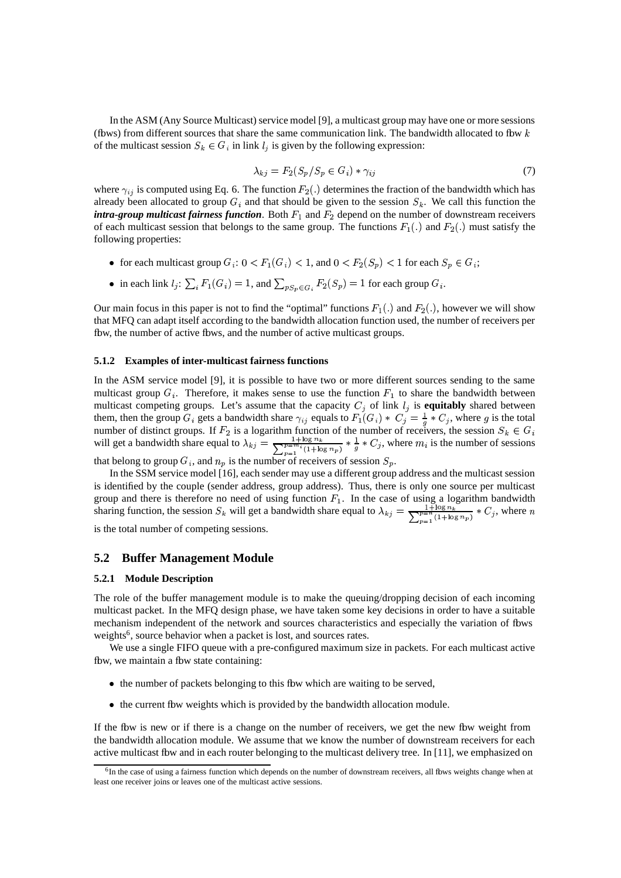In the ASM (Any Source Multicast) service model [9], a multicast group may have one or more sessions (fbws) from different sources that share the same communication link. The bandwidth allocated to fbw  $k$ of the multicast session  $S_k \in G_i$  in link  $l_i$  is given by the following expression:

$$
\lambda_{kj} = F_2(S_p/S_p \in G_i) * \gamma_{ij} \tag{7}
$$

where  $\gamma_{ij}$  is computed using Eq. 6. The function  $F_2(.)$  determines the fraction of the bandwidth which has already been allocated to group  $G_i$  and that should be given to the session  $S_k$ . We call this function the *intra-group multicast fairness function*. Both  $F_1$  and  $F_2$  depend on the number of downstream receivers of each multicast session that belongs to the same group. The functions  $F_1(.)$  and  $F_2(.)$  must satisfy the following properties:

- for each multicast group  $G_i: 0 < F_1(G_i) < 1$ , and  $0 < F_2(S_p) < 1$  for each  $S_p \in G_i$ ;
- in each link  $l_j$ :  $\sum_i F_1(G_i) = 1$ , and  $\sum_{pS_p \in G_i} F_2(S_p) = 1$  f  $F_2(S_p) = 1$  for each group  $G_i$ .

Our main focus in this paper is not to find the "optimal" functions  $F_1(.)$  and  $F_2(.)$ , however we will show that MFQ can adapt itself according to the bandwidth allocation function used, the number of receivers per flow, the number of active flows, and the number of active multicast groups.

### **5.1.2 Examples of inter-multicast fairness functions**

In the ASM service model [9], it is possible to have two or more different sources sending to the same multicast group  $G_i$ . Therefore, it makes sense to use the function  $F_1$  to share the bandwidth between multicast competing groups. Let's assume that the capacity  $C_j$  of link  $l_j$  is **equitably** shared between them, then the group  $G_i$  gets a bandwidth share  $\gamma_{ij}$  equals to  $F_1(G_i) * C_j = \frac{1}{g} * C_j$ , where g is the total number of distinct groups. If  $F_2$  is a logarithm function of the number of receivers, the session  $S_k \in G_i$ <br>will get a bandwidth share equal to  $\lambda_{kj} = \frac{1 + \log n_k}{\sum_{p=1}^{p=m} i (1 + \log n_p)} * \frac{1}{g} * C_j$ , where  $m_i$  is the number  $\frac{1}{g} * C_j$ , where  $m_i$  is the number of sessions that belong to group  $G_i$ , and  $n_p$  is the number of receivers of session  $S_p$ .

In the SSM service model [16], each sender may use a different group address and the multicast session is identified by the couple (sender address, group address). Thus, there is only one source per multicast group and there is therefore no need of using function  $F_1$ . In the case of using a logarithm bandwidth sharing function, the session  $S_k$  will get a bandwidth share equal to  $\lambda_{kj} = \frac{1 + \log n_k}{\sum_{p=1}^{p=n} (1 + \log n_p)} * C_j$ , where n is the total number of competing sessions.

### **5.2 Buffer Management Module**

#### **5.2.1 Module Description**

The role of the buffer management module is to make the queuing/dropping decision of each incoming multicast packet. In the MFQ design phase, we have taken some key decisions in order to have a suitable mechanism independent of the network and sources characteristics and especially the variation of flows weights<sup>6</sup>, source behavior when a packet is lost, and sources rates.

We use a single FIFO queue with a pre-configured maximum size in packets. For each multicast active fbw, we maintain a fbw state containing:

- the number of packets belonging to this flow which are waiting to be served,
- the current flow weights which is provided by the bandwidth allocation module.

If the flow is new or if there is a change on the number of receivers, we get the new flow weight from the bandwidth allocation module. We assume that we know the number of downstream receivers for each active multicast flow and in each router belonging to the multicast delivery tree. In [11], we emphasized on

<sup>&</sup>lt;sup>6</sup>In the case of using a fairness function which depends on the number of downstream receivers, all fbws weights change when at least one receiver joins or leaves one of the multicast active sessions.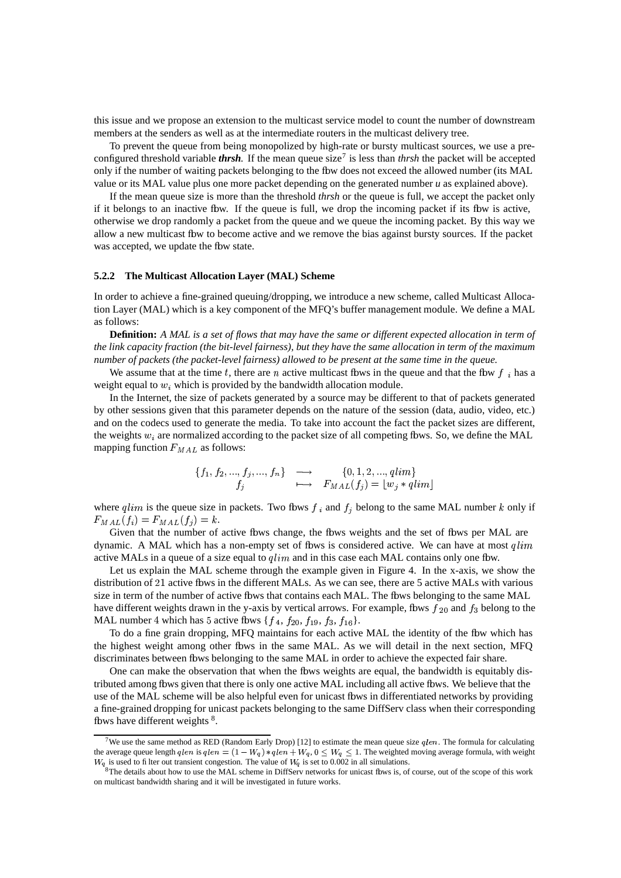this issue and we propose an extension to the multicast service model to count the number of downstream members at the senders as well as at the intermediate routers in the multicast delivery tree.

To prevent the queue from being monopolized by high-rate or bursty multicast sources, we use a preconfigured threshold variable *thrsh.* If the mean queue size<sup>7</sup> is less than *thrsh* the packet will be accepted only if the number of waiting packets belonging to the flow does not exceed the allowed number (its MAL value or its MAL value plus one more packet depending on the generated number *u* as explained above).

If the mean queue size is more than the threshold *thrsh* or the queue is full, we accept the packet only if it belongs to an inactive flow. If the queue is full, we drop the incoming packet if its flow is active, otherwise we drop randomly a packet from the queue and we queue the incoming packet. By this way we allow a new multicast flow to become active and we remove the bias against bursty sources. If the packet was accepted, we update the fbw state.

#### **5.2.2 The Multicast Allocation Layer (MAL) Scheme**

In order to achieve a fine-grained queuing/dropping, we introduce a new scheme, called Multicast Allocation Layer (MAL) which is a key component of the MFQ's buffer management module. We define a MAL as follows:

**Definition:** A MAL is a set of flows that may have the same or different expected allocation in term of the link capacity fraction (the bit-level fairness), but they have the same allocation in term of the maximum *number of packets (the packet-level fairness) allowed to be present at the same time in the queue.*

We assume that at the time t, there are n active multicast flows in the queue and that the flow  $f_i$  has a weight equal to  $w_i$ , which is provided by the bandwidth allocation module.

In the Internet, the size of packets generated by a source may be different to that of packets generated by other sessions given that this parameter depends on the nature of the session (data, audio, video, etc.) and on the codecs used to generate the media. To take into account the fact the packet sizes are different, the weights  $w_i$  are normalized according to the packet size of all competing flows. So, we define the MAL mapping function  $F_{MAL}$  as follows:

$$
\begin{array}{rcl}\n\{f_1, f_2, ..., f_j, ..., f_n\} & \longrightarrow & \{0, 1, 2, ..., qlim\} \\
f_j & \longmapsto & F_{MAL}(f_j) = \lfloor w_j * qlim \rfloor\n\end{array}
$$

where  $qlim$  is the queue size in packets. Two flows  $f_i$  and  $f_j$  belong to the same MAL number k only if  $F_{MAL}(f_i) = F_{MAL}(f_i) = k.$ 

Given that the number of active flows change, the flows weights and the set of flows per MAL are dynamic. A MAL which has a non-empty set of fbws is considered active. We can have at most  $qlim$ active MALs in a queue of a size equal to  $qlim$  and in this case each MAL contains only one flow.

Let us explain the MAL scheme through the example given in Figure 4. In the x-axis, we show the distribution of 21 active fbws in the different MALs. As we can see, there are 5 active MALs with various size in term of the number of active flows that contains each MAL. The flows belonging to the same MAL have different weights drawn in the y-axis by vertical arrows. For example, fbws  $f_{20}$  and  $f_3$  belong to the MAL number 4 which has 5 active flows  $\{f_4, f_{20}, f_{19}, f_3, f_{16}\}.$ 

To do a fine grain dropping, MFQ maintains for each active MAL the identity of the flow which has the highest weight among other flows in the same MAL. As we will detail in the next section, MFQ discriminates between flows belonging to the same MAL in order to achieve the expected fair share.

One can make the observation that when the flows weights are equal, the bandwidth is equitably distributed among flows given that there is only one active MAL including all active flows. We believe that the use of the MAL scheme will be also helpful even for unicast flows in differentiated networks by providing a fine-grained dropping for unicast packets belonging to the same DiffServ class when their corresponding fbws have different weights <sup>8</sup>.

<sup>&</sup>lt;sup>7</sup>We use the same method as RED (Random Early Drop) [12] to estimate the mean queue size  $qlen$ . The formula for calculating the average queue length  $\eta len$  is  $\eta len = (1 - W_a) * \eta len + W_a$ ,  $0 \leq W_a \leq 1$ . The weighted moving average formula, with weight  $W_q$  is used to filter out transient congestion. The value of  $W_q$  is set to 0.002 in all simulations.

<sup>&</sup>lt;sup>8</sup>The details about how to use the MAL scheme in DiffServ networks for unicast fbws is, of course, out of the scope of this work on multicast bandwidth sharing and it will be investigated in future works.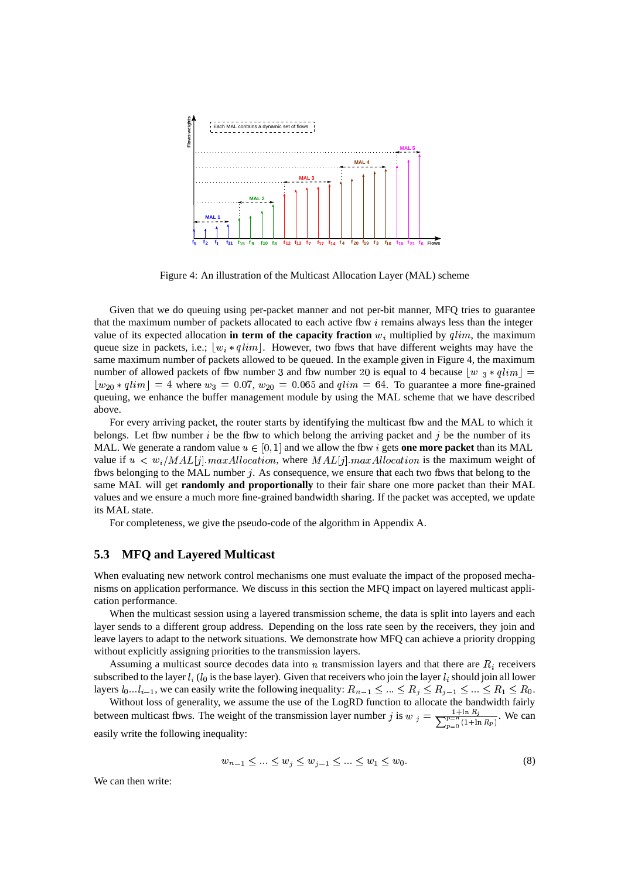

Figure 4: An illustration of the Multicast Allocation Layer (MAL) scheme

Given that we do queuing using per-packet manner and not per-bit manner, MFQ tries to guarantee that the maximum number of packets allocated to each active flow  $i$  remains always less than the integer value of its expected allocation **in term of the capacity fraction**  $w_i$  multiplied by  $qlim$ , the maximum queue size in packets, i.e.;  $\lfloor w_i * q \cdot l \rfloor$ . However, two flows that have different weights may have the same maximum number of packets allowed to be queued. In the example given in Figure 4, the maximum number of allowed packets of fbw number 3 and fbw number 20 is equal to 4 because  $\lfloor w \rfloor_3 * q \lfloor w \rfloor =$  $[w_{20} * q lim] = 4$  where  $w_3 = 0.07$ ,  $w_{20} = 0.065$  and  $q lim = 64$ . To guarantee a more fine-grained queuing, we enhance the buffer management module by using the MAL scheme that we have described above.

For every arriving packet, the router starts by identifying the multicast flow and the MAL to which it belongs. Let flow number  $i$  be the flow to which belong the arriving packet and  $j$  be the number of its MAL. We generate a random value  $u \in [0, 1]$  and we allow the fbw i gets **one more packet** than its MAL value if  $u < w_i/MAL[j].maxAllocation$ , where  $MAL[j].maxAllocation$  is the maximum weight of flows belonging to the MAL number  $j$ . As consequence, we ensure that each two flows that belong to the same MAL will get **randomly and proportionally** to their fair share one more packet than their MAL values and we ensure a much more fine-grained bandwidth sharing. If the packet was accepted, we update its MAL state.

For completeness, we give the pseudo-code of the algorithm in Appendix A.

### **5.3 MFQ and Layered Multicast**

When evaluating new network control mechanisms one must evaluate the impact of the proposed mechanisms on application performance. We discuss in this section the MFQ impact on layered multicast application performance.

When the multicast session using a layered transmission scheme, the data is split into layers and each layer sends to a different group address. Depending on the loss rate seen by the receivers, they join and leave layers to adapt to the network situations. We demonstrate how MFQ can achieve a priority dropping without explicitly assigning priorities to the transmission layers.

Assuming a multicast source decodes data into  $n$  transmission layers and that there are  $R_i$  receivers subscribed to the layer  $l_i$  ( $l_0$  is the base layer). Given that receivers who join the layer  $l_i$  should join all lower layers  $l_0...l_{i-1}$ , we can easily write the following inequality:  $R_{n-1} \leq ... \leq R_j \leq R_{j-1} \leq ... \leq R_1 \leq R_0$ .

   Without loss of generality, we assume the use of the LogRD function to allocate the bandwidth fairly between multicast fbws. The weight of the transmission layer number j is  $w_j = \frac{1 + \ln R_j}{\sum_{p=0}^{p=n} (1 + \ln R_p)}$ . We a . We can easily write the following inequality:

$$
w_{n-1} \le \dots \le w_j \le w_{j-1} \le \dots \le w_1 \le w_0. \tag{8}
$$

We can then write: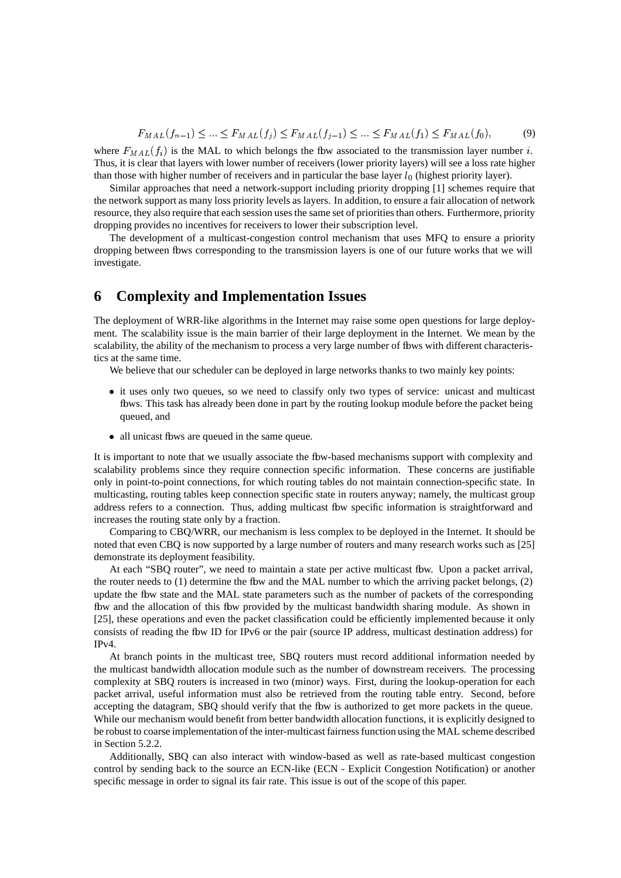$$
F_{MAL}(f_{n-1}) \leq \dots \leq F_{MAL}(f_j) \leq F_{MAL}(f_{j-1}) \leq \dots \leq F_{MAL}(f_1) \leq F_{MAL}(f_0),
$$
(9)

where  $F_{MAL}(f_i)$  is the MAL to which belongs the flow associated to the transmission layer number i. Thus, it is clear that layers with lower number of receivers (lower priority layers) will see a loss rate higher than those with higher number of receivers and in particular the base layer  $l_0$  (highest priority layer).

Similar approaches that need a network-support including priority dropping [1] schemes require that the network support as many loss priority levels as layers. In addition, to ensure a fair allocation of network resource, they also require that each session uses the same set of prioritiesthan others. Furthermore, priority dropping provides no incentives for receivers to lower their subscription level.

The development of a multicast-congestion control mechanism that uses MFQ to ensure a priority dropping between flows corresponding to the transmission layers is one of our future works that we will investigate.

# **6 Complexity and Implementation Issues**

The deployment of WRR-like algorithms in the Internet may raise some open questions for large deployment. The scalability issue is the main barrier of their large deployment in the Internet. We mean by the scalability, the ability of the mechanism to process a very large number of flows with different characteristics at the same time.

We believe that our scheduler can be deployed in large networks thanks to two mainly key points:

- it uses only two queues, so we need to classify only two types of service: unicast and multicast flows. This task has already been done in part by the routing lookup module before the packet being queued, and
- all unicast flows are queued in the same queue.

It is important to note that we usually associate the flow-based mechanisms support with complexity and scalability problems since they require connection specific information. These concerns are justifiable only in point-to-point connections, for which routing tables do not maintain connection-specific state. In multicasting, routing tables keep connection specific state in routers anyway; namely, the multicast group address refers to a connection. Thus, adding multicast flow specific information is straightforward and increases the routing state only by a fraction.

Comparing to CBQ/WRR, our mechanism is less complex to be deployed in the Internet. It should be noted that even CBQ is now supported by a large number of routers and many research works such as [25] demonstrate its deployment feasibility.

At each "SBQ router", we need to maintain a state per active multicast flow. Upon a packet arrival, the router needs to (1) determine the flow and the MAL number to which the arriving packet belongs, (2) update the flow state and the MAL state parameters such as the number of packets of the corresponding flow and the allocation of this flow provided by the multicast bandwidth sharing module. As shown in [25], these operations and even the packet classification could be efficiently implemented because it only consists of reading the flow ID for IPv6 or the pair (source IP address, multicast destination address) for IPv4.

At branch points in the multicast tree, SBQ routers must record additional information needed by the multicast bandwidth allocation module such as the number of downstream receivers. The processing complexity at SBQ routers is increased in two (minor) ways. First, during the lookup-operation for each packet arrival, useful information must also be retrieved from the routing table entry. Second, before accepting the datagram, SBQ should verify that the flow is authorized to get more packets in the queue. While our mechanism would benefit from better bandwidth allocation functions, it is explicitly designed to be robust to coarse implementation of the inter-multicast fairness function using the MAL scheme described in Section 5.2.2.

Additionally, SBQ can also interact with window-based as well as rate-based multicast congestion control by sending back to the source an ECN-like (ECN - Explicit Congestion Notification) or another specific message in order to signal its fair rate. This issue is out of the scope of this paper.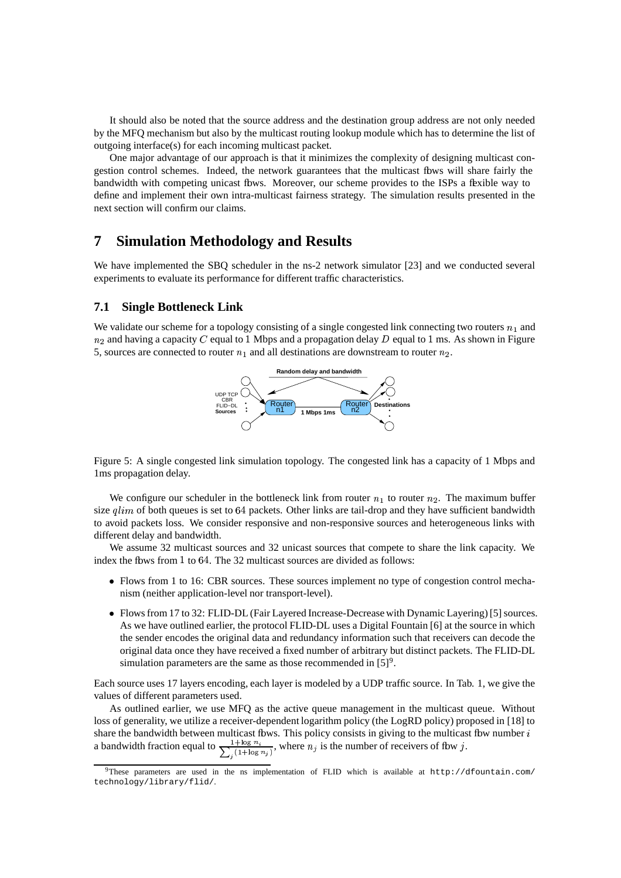It should also be noted that the source address and the destination group address are not only needed by the MFQ mechanism but also by the multicast routing lookup module which has to determine the list of outgoing interface(s) for each incoming multicast packet.

One major advantage of our approach is that it minimizes the complexity of designing multicast congestion control schemes. Indeed, the network guarantees that the multicast fbws will share fairly the bandwidth with competing unicast fbws. Moreover, our scheme provides to the ISPs a flexible way to define and implement their own intra-multicast fairness strategy. The simulation results presented in the next section will confirm our claims.

# **7 Simulation Methodology and Results**

We have implemented the SBQ scheduler in the ns-2 network simulator [23] and we conducted several experiments to evaluate its performance for different traffic characteristics.

### **7.1 Single Bottleneck Link**

We validate our scheme for a topology consisting of a single congested link connecting two routers  $n_1$  and  $n_2$  and having a capacity C equal to 1 Mbps and a propagation delay D equal to 1 ms. As shown in Figure 5, sources are connected to router  $n_1$  and all destinations are downstream to router  $n_2$ .



Figure 5: A single congested link simulation topology. The congested link has a capacity of 1 Mbps and 1ms propagation delay.

We configure our scheduler in the bottleneck link from router  $n_1$  to router  $n_2$ . The maximum buffer size  $qlim$  of both queues is set to 64 packets. Other links are tail-drop and they have sufficient bandwidth to avoid packets loss. We consider responsive and non-responsive sources and heterogeneous links with different delay and bandwidth.

We assume 32 multicast sources and 32 unicast sources that compete to share the link capacity. We index the fbws from 1 to 64. The 32 multicast sources are divided as follows:

- Flows from 1 to 16: CBR sources. These sources implement no type of congestion control mecha- nism (neither application-level nor transport-level).
- Flowsfrom 17 to 32: FLID-DL (Fair Layered Increase-Decrease with Dynamic Layering)[5] sources. As we have outlined earlier, the protocol FLID-DL uses a Digital Fountain [6] at the source in which the sender encodes the original data and redundancy information such that receivers can decode the original data once they have received a fixed number of arbitrary but distinct packets. The FLID-DL simulation parameters are the same as those recommended in  $[5]^9$ .

Each source uses 17 layers encoding, each layer is modeled by a UDP traffic source. In Tab. 1, we give the values of different parameters used.

As outlined earlier, we use MFQ as the active queue management in the multicast queue. Without loss of generality, we utilize a receiver-dependent logarithm policy (the LogRD policy) proposed in [18] to share the bandwidth between multicast flows. This policy consists in giving to the multicast flow number  $i$ a bandwidth fraction equal to  $\frac{1+\log n_i}{\sum_j (1+\log n_j)}$ , where  $n_j$  is the number of receivers of fbw j.

<sup>9</sup>These parameters are used in the ns implementation of FLID which is available at http://dfountain.com/ technology/library/flid/.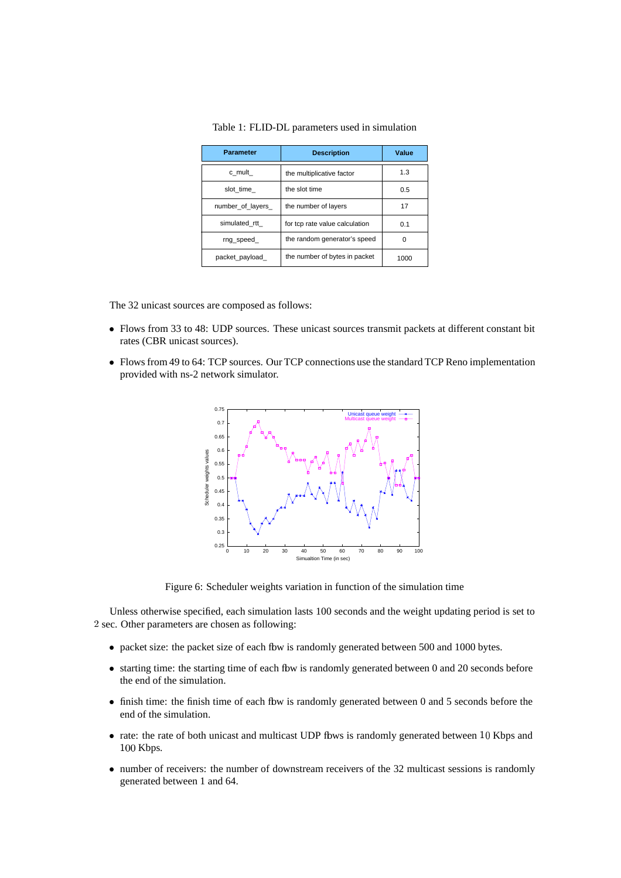| <b>Parameter</b>  | <b>Description</b>             | Value |
|-------------------|--------------------------------|-------|
| c mult            | the multiplicative factor      | 1.3   |
| slot time         | the slot time                  | 0.5   |
| number_of_layers_ | the number of layers           | 17    |
| simulated rtt     | for tcp rate value calculation | 0.1   |
| rng speed         | the random generator's speed   |       |
| packet payload    | the number of bytes in packet  | 1000  |

Table 1: FLID-DL parameters used in simulation

The 32 unicast sources are composed as follows:

- Flows from 33 to 48: UDP sources. These unicast sources transmit packets at different constant bit rates (CBR unicast sources).
- Flows from 49 to 64: TCP sources. Our TCP connections use the standard TCP Reno implementation provided with ns-2 network simulator.



Figure 6: Scheduler weights variation in function of the simulation time

Unless otherwise specified, each simulation lasts 100 seconds and the weight updating period is set to 2 sec. Other parameters are chosen as following:

- packet size: the packet size of each flow is randomly generated between 500 and 1000 bytes.
- starting time: the starting time of each flow is randomly generated between 0 and 20 seconds before the end of the simulation.
- finish time: the finish time of each flow is randomly generated between 0 and 5 seconds before the end of the simulation.
- rate: the rate of both unicast and multicast UDP fbws is randomly generated between 10 Kbps and  $100$  Kbps.
- number of receivers: the number of downstream receivers of the 32 multicast sessions is randomly generated between 1 and 64.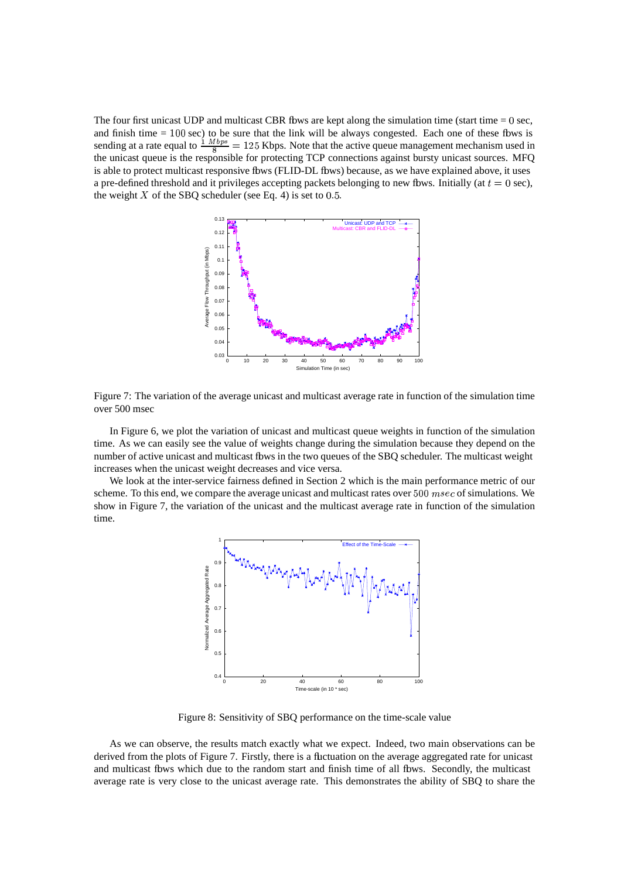The four first unicast UDP and multicast CBR flows are kept along the simulation time (start time  $= 0$  sec, and finish time  $= 100$  sec) to be sure that the link will be always congested. Each one of these flows is sending at a rate equal to  $\frac{1 \ M b \ p s}{g} = 125$  Kbps. Note that the active queue management mechanism used in the unicast queue is the responsible for protecting TCP connections against bursty unicast sources. MFQ is able to protect multicast responsive flows (FLID-DL flows) because, as we have explained above, it uses a pre-defined threshold and it privileges accepting packets belonging to new fbws. Initially (at  $t = 0$  sec), the weight X of the SBQ scheduler (see Eq. 4) is set to  $0.5$ .



Figure 7: The variation of the average unicast and multicast average rate in function of the simulation time over 500 msec

In Figure 6, we plot the variation of unicast and multicast queue weights in function of the simulation time. As we can easily see the value of weights change during the simulation because they depend on the number of active unicast and multicast flows in the two queues of the SBQ scheduler. The multicast weight increases when the unicast weight decreases and vice versa.

We look at the inter-service fairness defined in Section 2 which is the main performance metric of our scheme. To this end, we compare the average unicast and multicast rates over  $500$  msec of simulations. We show in Figure 7, the variation of the unicast and the multicast average rate in function of the simulation time.



Figure 8: Sensitivity of SBQ performance on the time-scale value

As we can observe, the results match exactly what we expect. Indeed, two main observations can be derived from the plots of Figure 7. Firstly, there is a fluctuation on the average aggregated rate for unicast and multicast fbws which due to the random start and finish time of all fbws. Secondly, the multicast average rate is very close to the unicast average rate. This demonstrates the ability of SBQ to share the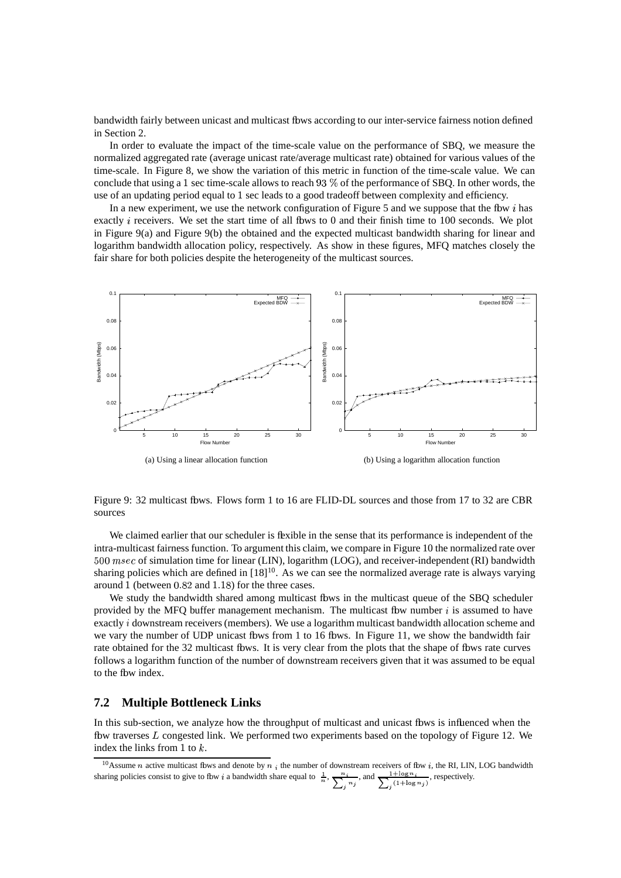bandwidth fairly between unicast and multicast fbws according to our inter-service fairness notion defined in Section 2.

In order to evaluate the impact of the time-scale value on the performance of SBQ, we measure the normalized aggregated rate (average unicast rate/average multicast rate) obtained for various values of the time-scale. In Figure 8, we show the variation of this metric in function of the time-scale value. We can conclude that using a 1 sec time-scale allows to reach 93  $\%$  of the performance of SBQ. In other words, the use of an updating period equal to 1 sec leads to a good tradeoff between complexity and efficiency.

In a new experiment, we use the network configuration of Figure 5 and we suppose that the flow  $i$  has exactly  $i$  receivers. We set the start time of all flows to 0 and their finish time to 100 seconds. We plot in Figure 9(a) and Figure 9(b) the obtained and the expected multicast bandwidth sharing for linear and logarithm bandwidth allocation policy, respectively. As show in these figures, MFQ matches closely the fair share for both policies despite the heterogeneity of the multicast sources.



Figure 9: 32 multicast flows. Flows form 1 to 16 are FLID-DL sources and those from 17 to 32 are CBR sources

We claimed earlier that our scheduler is flexible in the sense that its performance is independent of the intra-multicast fairness function. To argument this claim, we compare in Figure 10 the normalized rate over  $500$  msec of simulation time for linear (LIN), logarithm (LOG), and receiver-independent (RI) bandwidth sharing policies which are defined in [18]<sup>10</sup>. As we can see the normalized average rate is always varying around  $1$  (between  $0.82$  and  $1.18$ ) for the three cases.

We study the bandwidth shared among multicast fbws in the multicast queue of the SBQ scheduler provided by the MFQ buffer management mechanism. The multicast flow number  $i$  is assumed to have exactly  $i$  downstream receivers (members). We use a logarithm multicast bandwidth allocation scheme and we vary the number of UDP unicast flows from 1 to 16 flows. In Figure 11, we show the bandwidth fair rate obtained for the 32 multicast flows. It is very clear from the plots that the shape of flows rate curves follows a logarithm function of the number of downstream receivers given that it was assumed to be equal to the fbw index.

### **7.2 Multiple Bottleneck Links**

In this sub-section, we analyze how the throughput of multicast and unicast flows is influenced when the flow traverses  $L$  congested link. We performed two experiments based on the topology of Figure 12. We index the links from 1 to  $k$ .

<sup>&</sup>lt;sup>10</sup>Assume *n* active multicast flows and denote by  $n_i$  the number of downstream receivers of flow *i*, the RI, LIN, LOG bandwidth sharing policies consist to give to fbw i a bandwidth share equal to  $\frac{1}{n}$ ,  $\sum_{i=1}^{n_i}$ , and  $\sum_{i=1}^{n_i}$  (1+log  $n_i$ ), respectively.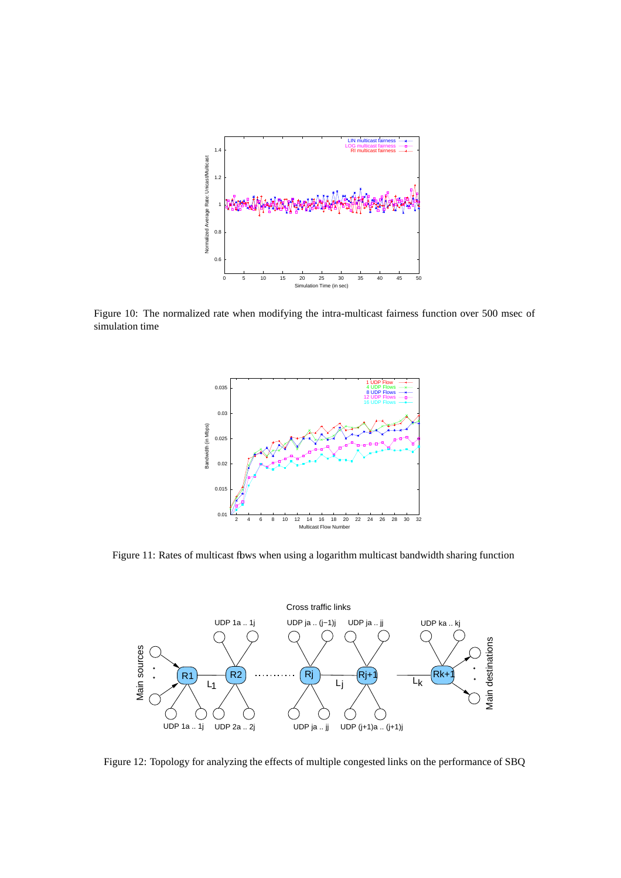

Figure 10: The normalized rate when modifying the intra-multicast fairness function over 500 msec of simulation time



Figure 11: Rates of multicast fbws when using a logarithm multicast bandwidth sharing function



Figure 12: Topology for analyzing the effects of multiple congested links on the performance of SBQ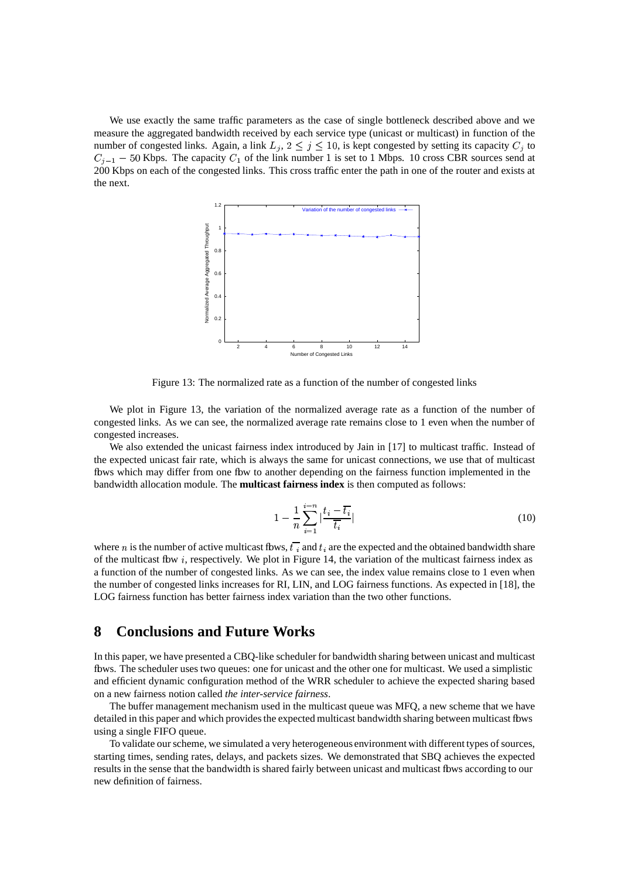We use exactly the same traffic parameters as the case of single bottleneck described above and we measure the aggregated bandwidth received by each service type (unicast or multicast) in function of the number of congested links. Again, a link  $L_i$ ,  $2 \leq j \leq 10$ , is kept congested by setting its capacity  $C_i$  to  $C_{i-1}$  – 50 Kbps. The capacity  $C_1$  of the link number 1 is set to 1 Mbps. 10 cross CBR sources send at  200 Kbps on each of the congested links. This cross traffic enter the path in one of the router and exists at the next.



Figure 13: The normalized rate as a function of the number of congested links

We plot in Figure 13, the variation of the normalized average rate as a function of the number of congested links. As we can see, the normalized average rate remains close to 1 even when the number of congested increases.

We also extended the unicast fairness index introduced by Jain in [17] to multicast traffic. Instead of the expected unicast fair rate, which is always the same for unicast connections, we use that of multicast flows which may differ from one flow to another depending on the fairness function implemented in the bandwidth allocation module. The **multicast fairness index** is then computed as follows:

$$
1 - \frac{1}{n} \sum_{i=1}^{i=n} \left| \frac{t_i - \overline{t_i}}{\overline{t_i}} \right| \tag{10}
$$

where *n* is the number of active multicast flows,  $\overline{t_i}$  and  $t_i$  are the expected and the obtained bandwidth share of the multicast flow  $i$ , respectively. We plot in Figure 14, the variation of the multicast fairness index as a function of the number of congested links. As we can see, the index value remains close to 1 even when the number of congested links increases for RI, LIN, and LOG fairness functions. As expected in [18], the LOG fairness function has better fairness index variation than the two other functions.

# **8 Conclusions and Future Works**

In this paper, we have presented a CBQ-like scheduler for bandwidth sharing between unicast and multicast flows. The scheduler uses two queues: one for unicast and the other one for multicast. We used a simplistic and efficient dynamic configuration method of the WRR scheduler to achieve the expected sharing based on a new fairness notion called *the inter-service fairness*.

The buffer management mechanism used in the multicast queue was MFQ, a new scheme that we have detailed in this paper and which provides the expected multicast bandwidth sharing between multicast flows using a single FIFO queue.

To validate ourscheme, we simulated a very heterogeneous environment with different types ofsources, starting times, sending rates, delays, and packets sizes. We demonstrated that SBQ achieves the expected results in the sense that the bandwidth is shared fairly between unicast and multicast flows according to our new definition of fairness.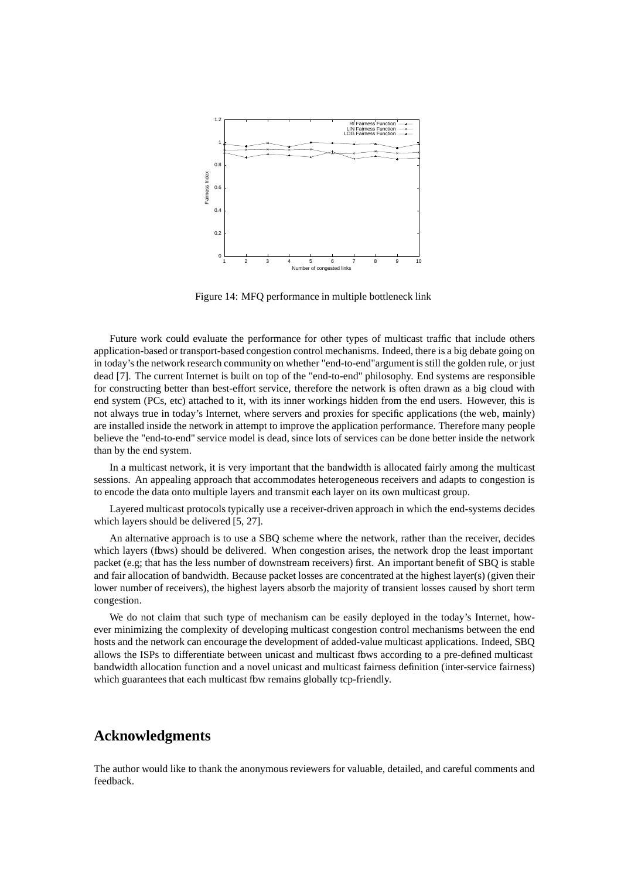

Figure 14: MFQ performance in multiple bottleneck link

Future work could evaluate the performance for other types of multicast traffic that include others application-based or transport-based congestion control mechanisms. Indeed, there is a big debate going on in today's the network research community on whether "end-to-end"argumentis still the golden rule, or just dead [7]. The current Internet is built on top of the "end-to-end" philosophy. End systems are responsible for constructing better than best-effort service, therefore the network is often drawn as a big cloud with end system (PCs, etc) attached to it, with its inner workings hidden from the end users. However, this is not always true in today's Internet, where servers and proxies for specific applications (the web, mainly) are installed inside the network in attempt to improve the application performance. Therefore many people believe the "end-to-end" service model is dead, since lots of services can be done better inside the network than by the end system.

In a multicast network, it is very important that the bandwidth is allocated fairly among the multicast sessions. An appealing approach that accommodates heterogeneous receivers and adapts to congestion is to encode the data onto multiple layers and transmit each layer on its own multicast group.

Layered multicast protocols typically use a receiver-driven approach in which the end-systems decides which layers should be delivered [5, 27].

An alternative approach is to use a SBQ scheme where the network, rather than the receiver, decides which layers (fbws) should be delivered. When congestion arises, the network drop the least important packet (e.g; that has the less number of downstream receivers) first. An important benefit of SBQ is stable and fair allocation of bandwidth. Because packet losses are concentrated at the highest layer(s) (given their lower number of receivers), the highest layers absorb the majority of transient losses caused by short term congestion.

We do not claim that such type of mechanism can be easily deployed in the today's Internet, however minimizing the complexity of developing multicast congestion control mechanisms between the end hosts and the network can encourage the development of added-value multicast applications. Indeed, SBQ allows the ISPs to differentiate between unicast and multicast flows according to a pre-defined multicast bandwidth allocation function and a novel unicast and multicast fairness definition (inter-service fairness) which guarantees that each multicast flow remains globally tcp-friendly.

# **Acknowledgments**

The author would like to thank the anonymous reviewers for valuable, detailed, and careful comments and feedback.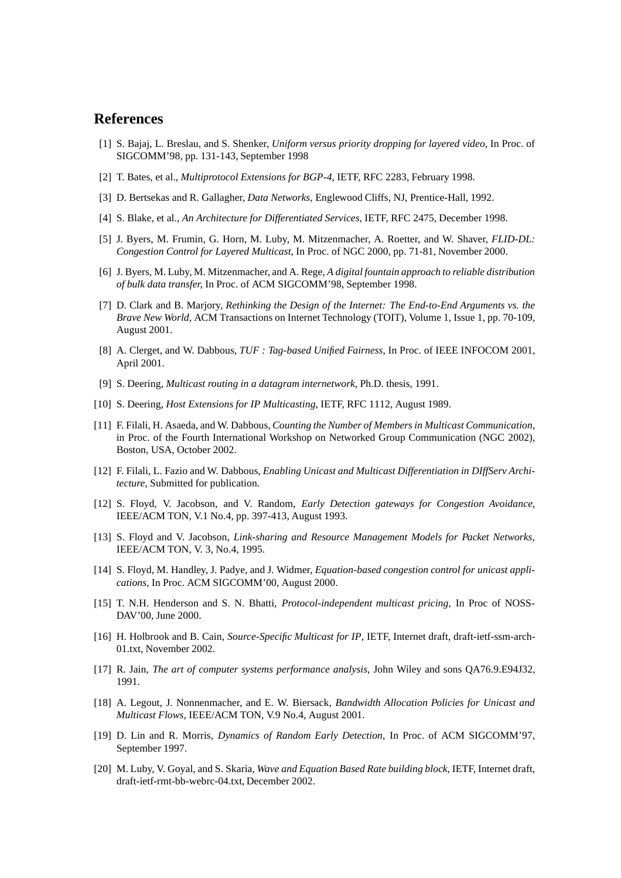# **References**

- [1] S. Bajaj, L. Breslau, and S. Shenker, *Uniform versus priority dropping for layered video*, In Proc. of SIGCOMM'98, pp. 131-143, September 1998
- [2] T. Bates, et al., *Multiprotocol Extensions for BGP-4*, IETF, RFC 2283, February 1998.
- [3] D. Bertsekas and R. Gallagher, *Data Networks*, Englewood Cliffs, NJ, Prentice-Hall, 1992.
- [4] S. Blake, et al., *An Architecture for Differentiated Services*, IETF, RFC 2475, December 1998.
- [5] J. Byers, M. Frumin, G. Horn, M. Luby, M. Mitzenmacher, A. Roetter, and W. Shaver, *FLID-DL: Congestion Control for Layered Multicast*, In Proc. of NGC 2000, pp. 71-81, November 2000.
- [6] J. Byers, M. Luby, M. Mitzenmacher, and A. Rege, *A digital fountain approach to reliable distribution of bulk data transfer,* In Proc. of ACM SIGCOMM'98, September 1998.
- [7] D. Clark and B. Marjory, *Rethinking the Design of the Internet: The End-to-End Arguments vs. the Brave New World*, ACM Transactions on Internet Technology (TOIT), Volume 1, Issue 1, pp. 70-109, August 2001.
- [8] A. Clerget, and W. Dabbous, *TUF : Tag-based Unified Fairness*, In Proc. of IEEE INFOCOM 2001, April 2001.
- [9] S. Deering, *Multicast routing in a datagram internetwork*, Ph.D. thesis, 1991.
- [10] S. Deering, *Host Extensions for IP Multicasting*, IETF, RFC 1112, August 1989.
- [11] F. Filali, H. Asaeda, and W. Dabbous, *Counting the Number of Members in Multicast Communication*, in Proc. of the Fourth International Workshop on Networked Group Communication (NGC 2002), Boston, USA, October 2002.
- [12] F. Filali, L. Fazio and W. Dabbous, *Enabling Unicast and Multicast Differentiation in DIffServ Architecture*, Submitted for publication.
- [12] S. Floyd, V. Jacobson, and V. Random, *Early Detection gateways for Congestion Avoidance,* IEEE/ACM TON, V.1 No.4, pp. 397-413, August 1993.
- [13] S. Floyd and V. Jacobson, *Link-sharing and Resource Management Models for Packet Networks*, IEEE/ACM TON, V. 3, No.4, 1995.
- [14] S. Floyd, M. Handley, J. Padye, and J. Widmer, *Equation-based congestion control for unicast applications*, In Proc. ACM SIGCOMM'00, August 2000.
- [15] T. N.H. Henderson and S. N. Bhatti, *Protocol-independent multicast pricing*, In Proc of NOSS-DAV'00, June 2000.
- [16] H. Holbrook and B. Cain, *Source-Specific Multicast for IP*, IETF, Internet draft, draft-ietf-ssm-arch-01.txt, November 2002.
- [17] R. Jain, *The art of computer systems performance analysis*, John Wiley and sons QA76.9.E94J32, 1991.
- [18] A. Legout, J. Nonnenmacher, and E. W. Biersack, *Bandwidth Allocation Policies for Unicast and Multicast Flows,* IEEE/ACM TON, V.9 No.4, August 2001.
- [19] D. Lin and R. Morris, *Dynamics of Random Early Detection*, In Proc. of ACM SIGCOMM'97, September 1997.
- [20] M. Luby, V. Goyal, and S. Skaria, *Wave and Equation Based Rate building block*, IETF, Internet draft, draft-ietf-rmt-bb-webrc-04.txt, December 2002.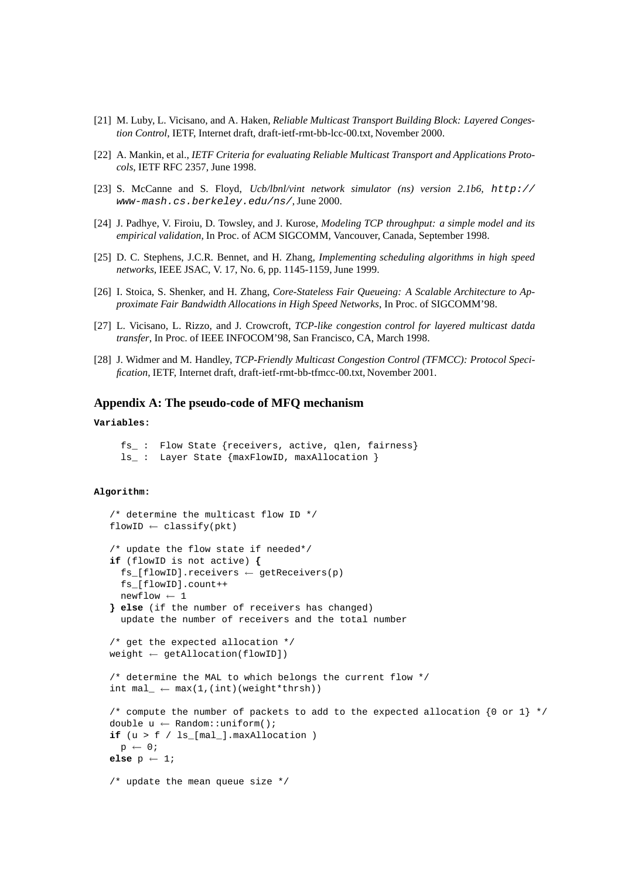- [21] M. Luby, L. Vicisano, and A. Haken, *Reliable Multicast Transport Building Block: Layered Congestion Control*, IETF, Internet draft, draft-ietf-rmt-bb-lcc-00.txt, November 2000.
- [22] A. Mankin, et al., *IETF Criteria for evaluating Reliable Multicast Transport and Applications Protocols*, IETF RFC 2357, June 1998.
- [23] S. McCanne and S. Floyd, *Ucb/lbnl/vint network simulator (ns) version 2.1b6,* http:// www-mash.cs.berkeley.edu/ns/, June 2000.
- [24] J. Padhye, V. Firoiu, D. Towsley, and J. Kurose, *Modeling TCP throughput: a simple model and its empirical validation*, In Proc. of ACM SIGCOMM, Vancouver, Canada, September 1998.
- [25] D. C. Stephens, J.C.R. Bennet, and H. Zhang, *Implementing scheduling algorithms in high speed networks*, IEEE JSAC, V. 17, No. 6, pp. 1145-1159, June 1999.
- [26] I. Stoica, S. Shenker, and H. Zhang, *Core-Stateless Fair Queueing: A Scalable Architecture to Approximate Fair Bandwidth Allocations in High Speed Networks*, In Proc. of SIGCOMM'98.
- [27] L. Vicisano, L. Rizzo, and J. Crowcroft, *TCP-like congestion control for layered multicast datda transfer*, In Proc. of IEEE INFOCOM'98, San Francisco, CA, March 1998.
- [28] J. Widmer and M. Handley, *TCP-Friendly Multicast Congestion Control (TFMCC): Protocol Specification*, IETF, Internet draft, draft-ietf-rmt-bb-tfmcc-00.txt, November 2001.

### **Appendix A: The pseudo-code of MFQ mechanism**

#### **Variables:**

fs\_ : Flow State {receivers, active, qlen, fairness} ls\_ : Layer State {maxFlowID, maxAllocation }

#### **Algorithm:**

```
/* determine the multicast flow ID */
flowID \leftarrow classify(pkt)/* update the flow state if needed*/
if (flowID is not active) {
  fs_{\text{I}}[flowID].receivers \leftarrow getReceivers(p)fs_[flowID].count++
  newflow \leftarrow 1} else (if the number of receivers has changed)
  update the number of receivers and the total number
/* get the expected allocation */
weight \leftarrow getAllocation(flowID)/* determine the MAL to which belongs the current flow */
int mal_{-} \leftarrow max(1,(int)(weight*thrsh))/* compute the number of packets to add to the expected allocation {0 or 1} */
double u \leftarrow Random::uniform();
if (u > f / ls_[mal_].maxAllocation )
 p \leftarrow 0;else p \leftarrow 1;
/* update the mean queue size */
```